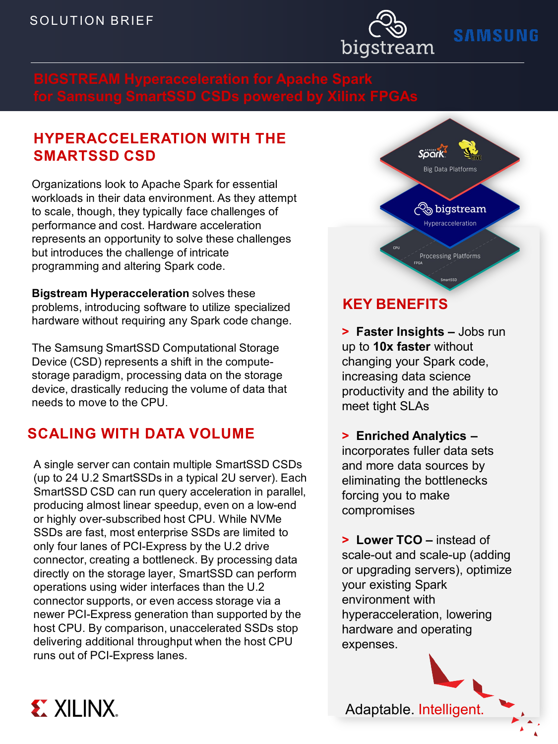**Product Name**



# **SAMSUNG**

## **HYPERACCELERATION WITH THE SMARTSSD CSD**

Organizations look to Apache Spark for essential workloads in their data environment. As they attempt to scale, though, they typically face challenges of performance and cost. Hardware acceleration represents an opportunity to solve these challenges but introduces the challenge of intricate programming and altering Spark code.

**Bigstream Hyperacceleration** solves these problems, introducing software to utilize specialized hardware without requiring any Spark code change.

The Samsung SmartSSD Computational Storage Device (CSD) represents a shift in the computestorage paradigm, processing data on the storage device, drastically reducing the volume of data that needs to move to the CPU.

## **SCALING WITH DATA VOLUME**

**EXILINX.** 

A single server can contain multiple SmartSSD CSDs (up to 24 U.2 SmartSSDs in a typical 2U server). Each SmartSSD CSD can run query acceleration in parallel, producing almost linear speedup, even on a low-end or highly over-subscribed host CPU. While NVMe SSDs are fast, most enterprise SSDs are limited to only four lanes of PCI-Express by the U.2 drive connector, creating a bottleneck. By processing data directly on the storage layer, SmartSSD can perform operations using wider interfaces than the U.2 connector supports, or even access storage via a newer PCI-Express generation than supported by the host CPU. By comparison, unaccelerated SSDs stop delivering additional throughput when the host CPU runs out of PCI-Express lanes.



## **KEY BENEFITS**

**> Faster Insights –** Jobs run up to **10x faster** without changing your Spark code, increasing data science productivity and the ability to meet tight SLAs

**> Enriched Analytics –** incorporates fuller data sets and more data sources by eliminating the bottlenecks forcing you to make compromises

**> Lower TCO –** instead of scale-out and scale-up (adding or upgrading servers), optimize your existing Spark environment with hyperacceleration, lowering hardware and operating expenses.